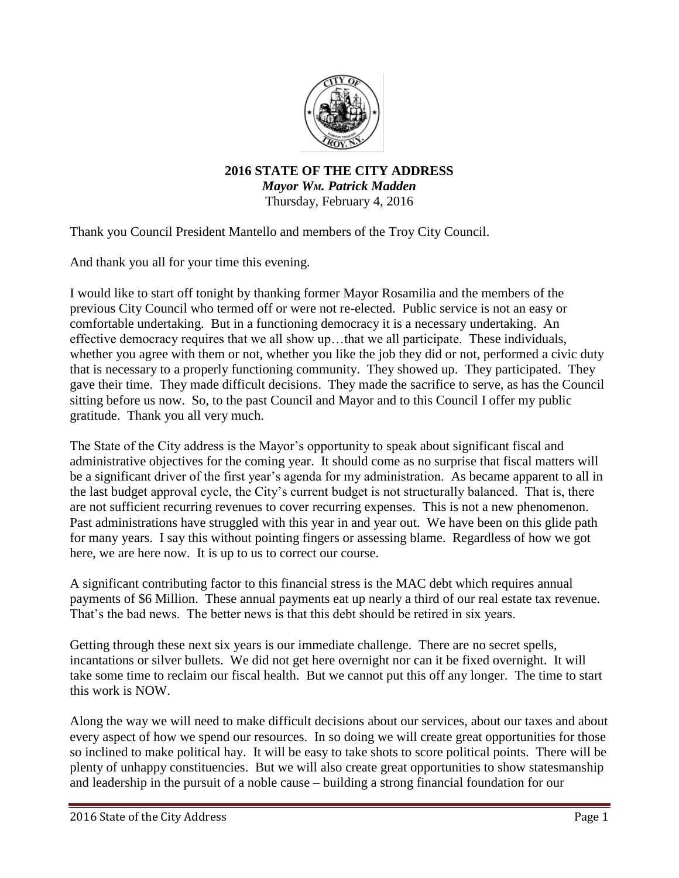

**2016 STATE OF THE CITY ADDRESS** *Mayor WM. Patrick Madden* Thursday, February 4, 2016

Thank you Council President Mantello and members of the Troy City Council.

And thank you all for your time this evening.

I would like to start off tonight by thanking former Mayor Rosamilia and the members of the previous City Council who termed off or were not re-elected. Public service is not an easy or comfortable undertaking. But in a functioning democracy it is a necessary undertaking. An effective democracy requires that we all show up…that we all participate. These individuals, whether you agree with them or not, whether you like the job they did or not, performed a civic duty that is necessary to a properly functioning community. They showed up. They participated. They gave their time. They made difficult decisions. They made the sacrifice to serve, as has the Council sitting before us now. So, to the past Council and Mayor and to this Council I offer my public gratitude. Thank you all very much.

The State of the City address is the Mayor's opportunity to speak about significant fiscal and administrative objectives for the coming year. It should come as no surprise that fiscal matters will be a significant driver of the first year's agenda for my administration. As became apparent to all in the last budget approval cycle, the City's current budget is not structurally balanced. That is, there are not sufficient recurring revenues to cover recurring expenses. This is not a new phenomenon. Past administrations have struggled with this year in and year out. We have been on this glide path for many years. I say this without pointing fingers or assessing blame. Regardless of how we got here, we are here now. It is up to us to correct our course.

A significant contributing factor to this financial stress is the MAC debt which requires annual payments of \$6 Million. These annual payments eat up nearly a third of our real estate tax revenue. That's the bad news. The better news is that this debt should be retired in six years.

Getting through these next six years is our immediate challenge. There are no secret spells, incantations or silver bullets. We did not get here overnight nor can it be fixed overnight. It will take some time to reclaim our fiscal health. But we cannot put this off any longer. The time to start this work is NOW.

Along the way we will need to make difficult decisions about our services, about our taxes and about every aspect of how we spend our resources. In so doing we will create great opportunities for those so inclined to make political hay. It will be easy to take shots to score political points. There will be plenty of unhappy constituencies. But we will also create great opportunities to show statesmanship and leadership in the pursuit of a noble cause – building a strong financial foundation for our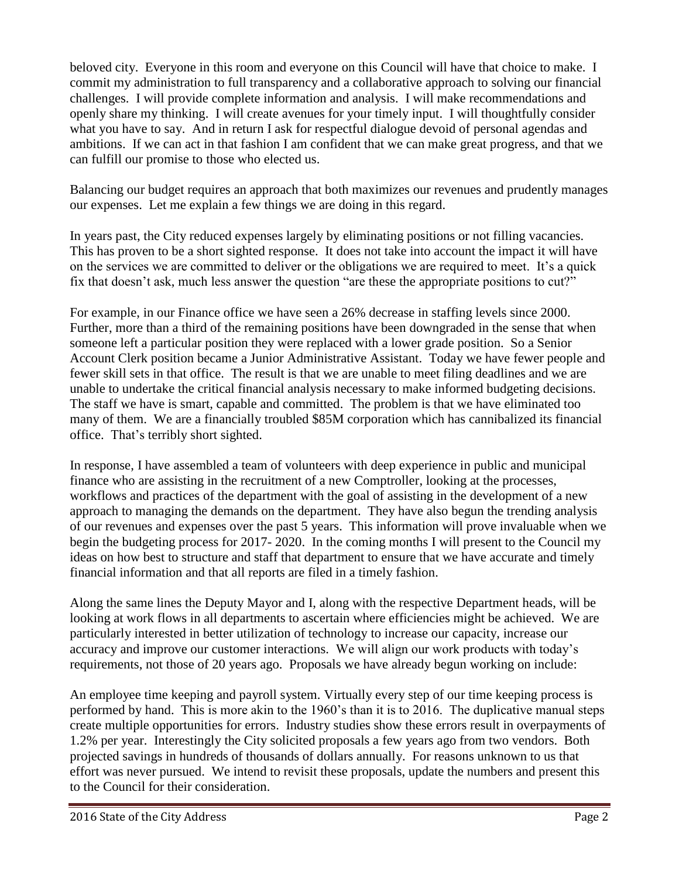beloved city. Everyone in this room and everyone on this Council will have that choice to make. I commit my administration to full transparency and a collaborative approach to solving our financial challenges. I will provide complete information and analysis. I will make recommendations and openly share my thinking. I will create avenues for your timely input. I will thoughtfully consider what you have to say. And in return I ask for respectful dialogue devoid of personal agendas and ambitions. If we can act in that fashion I am confident that we can make great progress, and that we can fulfill our promise to those who elected us.

Balancing our budget requires an approach that both maximizes our revenues and prudently manages our expenses. Let me explain a few things we are doing in this regard.

In years past, the City reduced expenses largely by eliminating positions or not filling vacancies. This has proven to be a short sighted response. It does not take into account the impact it will have on the services we are committed to deliver or the obligations we are required to meet. It's a quick fix that doesn't ask, much less answer the question "are these the appropriate positions to cut?"

For example, in our Finance office we have seen a 26% decrease in staffing levels since 2000. Further, more than a third of the remaining positions have been downgraded in the sense that when someone left a particular position they were replaced with a lower grade position. So a Senior Account Clerk position became a Junior Administrative Assistant. Today we have fewer people and fewer skill sets in that office. The result is that we are unable to meet filing deadlines and we are unable to undertake the critical financial analysis necessary to make informed budgeting decisions. The staff we have is smart, capable and committed. The problem is that we have eliminated too many of them. We are a financially troubled \$85M corporation which has cannibalized its financial office. That's terribly short sighted.

In response, I have assembled a team of volunteers with deep experience in public and municipal finance who are assisting in the recruitment of a new Comptroller, looking at the processes, workflows and practices of the department with the goal of assisting in the development of a new approach to managing the demands on the department. They have also begun the trending analysis of our revenues and expenses over the past 5 years. This information will prove invaluable when we begin the budgeting process for 2017- 2020. In the coming months I will present to the Council my ideas on how best to structure and staff that department to ensure that we have accurate and timely financial information and that all reports are filed in a timely fashion.

Along the same lines the Deputy Mayor and I, along with the respective Department heads, will be looking at work flows in all departments to ascertain where efficiencies might be achieved. We are particularly interested in better utilization of technology to increase our capacity, increase our accuracy and improve our customer interactions. We will align our work products with today's requirements, not those of 20 years ago. Proposals we have already begun working on include:

An employee time keeping and payroll system. Virtually every step of our time keeping process is performed by hand. This is more akin to the 1960's than it is to 2016. The duplicative manual steps create multiple opportunities for errors. Industry studies show these errors result in overpayments of 1.2% per year. Interestingly the City solicited proposals a few years ago from two vendors. Both projected savings in hundreds of thousands of dollars annually. For reasons unknown to us that effort was never pursued. We intend to revisit these proposals, update the numbers and present this to the Council for their consideration.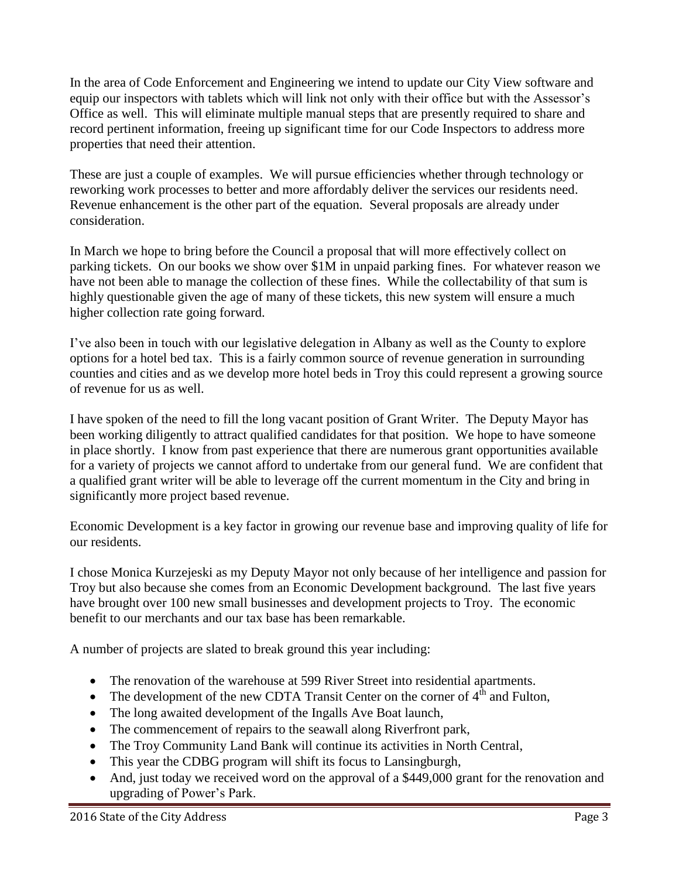In the area of Code Enforcement and Engineering we intend to update our City View software and equip our inspectors with tablets which will link not only with their office but with the Assessor's Office as well. This will eliminate multiple manual steps that are presently required to share and record pertinent information, freeing up significant time for our Code Inspectors to address more properties that need their attention.

These are just a couple of examples. We will pursue efficiencies whether through technology or reworking work processes to better and more affordably deliver the services our residents need. Revenue enhancement is the other part of the equation. Several proposals are already under consideration.

In March we hope to bring before the Council a proposal that will more effectively collect on parking tickets. On our books we show over \$1M in unpaid parking fines. For whatever reason we have not been able to manage the collection of these fines. While the collectability of that sum is highly questionable given the age of many of these tickets, this new system will ensure a much higher collection rate going forward.

I've also been in touch with our legislative delegation in Albany as well as the County to explore options for a hotel bed tax. This is a fairly common source of revenue generation in surrounding counties and cities and as we develop more hotel beds in Troy this could represent a growing source of revenue for us as well.

I have spoken of the need to fill the long vacant position of Grant Writer. The Deputy Mayor has been working diligently to attract qualified candidates for that position. We hope to have someone in place shortly. I know from past experience that there are numerous grant opportunities available for a variety of projects we cannot afford to undertake from our general fund. We are confident that a qualified grant writer will be able to leverage off the current momentum in the City and bring in significantly more project based revenue.

Economic Development is a key factor in growing our revenue base and improving quality of life for our residents.

I chose Monica Kurzejeski as my Deputy Mayor not only because of her intelligence and passion for Troy but also because she comes from an Economic Development background. The last five years have brought over 100 new small businesses and development projects to Troy. The economic benefit to our merchants and our tax base has been remarkable.

A number of projects are slated to break ground this year including:

- The renovation of the warehouse at 599 River Street into residential apartments.
- The development of the new CDTA Transit Center on the corner of  $4<sup>th</sup>$  and Fulton,
- The long awaited development of the Ingalls Ave Boat launch,
- The commencement of repairs to the seawall along Riverfront park,
- The Troy Community Land Bank will continue its activities in North Central,
- This year the CDBG program will shift its focus to Lansingburgh,
- And, just today we received word on the approval of a \$449,000 grant for the renovation and upgrading of Power's Park.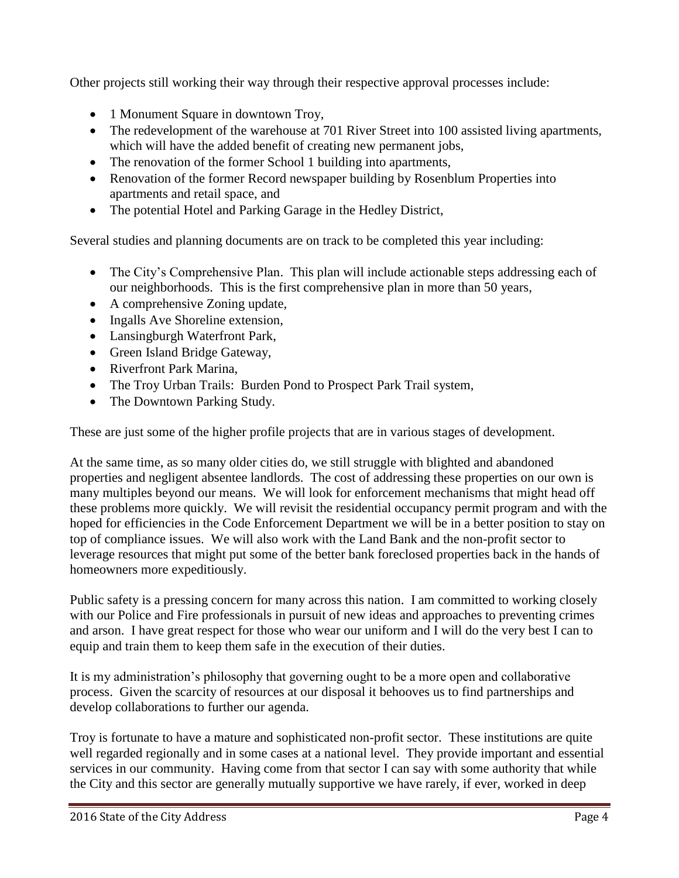Other projects still working their way through their respective approval processes include:

- 1 Monument Square in downtown Troy,
- The redevelopment of the warehouse at 701 River Street into 100 assisted living apartments, which will have the added benefit of creating new permanent jobs,
- The renovation of the former School 1 building into apartments,
- Renovation of the former Record newspaper building by Rosenblum Properties into apartments and retail space, and
- The potential Hotel and Parking Garage in the Hedley District,

Several studies and planning documents are on track to be completed this year including:

- The City's Comprehensive Plan. This plan will include actionable steps addressing each of our neighborhoods. This is the first comprehensive plan in more than 50 years,
- A comprehensive Zoning update,
- Ingalls Ave Shoreline extension,
- Lansingburgh Waterfront Park,
- Green Island Bridge Gateway,
- Riverfront Park Marina.
- The Troy Urban Trails: Burden Pond to Prospect Park Trail system,
- The Downtown Parking Study.

These are just some of the higher profile projects that are in various stages of development.

At the same time, as so many older cities do, we still struggle with blighted and abandoned properties and negligent absentee landlords. The cost of addressing these properties on our own is many multiples beyond our means. We will look for enforcement mechanisms that might head off these problems more quickly. We will revisit the residential occupancy permit program and with the hoped for efficiencies in the Code Enforcement Department we will be in a better position to stay on top of compliance issues. We will also work with the Land Bank and the non-profit sector to leverage resources that might put some of the better bank foreclosed properties back in the hands of homeowners more expeditiously.

Public safety is a pressing concern for many across this nation. I am committed to working closely with our Police and Fire professionals in pursuit of new ideas and approaches to preventing crimes and arson. I have great respect for those who wear our uniform and I will do the very best I can to equip and train them to keep them safe in the execution of their duties.

It is my administration's philosophy that governing ought to be a more open and collaborative process. Given the scarcity of resources at our disposal it behooves us to find partnerships and develop collaborations to further our agenda.

Troy is fortunate to have a mature and sophisticated non-profit sector. These institutions are quite well regarded regionally and in some cases at a national level. They provide important and essential services in our community. Having come from that sector I can say with some authority that while the City and this sector are generally mutually supportive we have rarely, if ever, worked in deep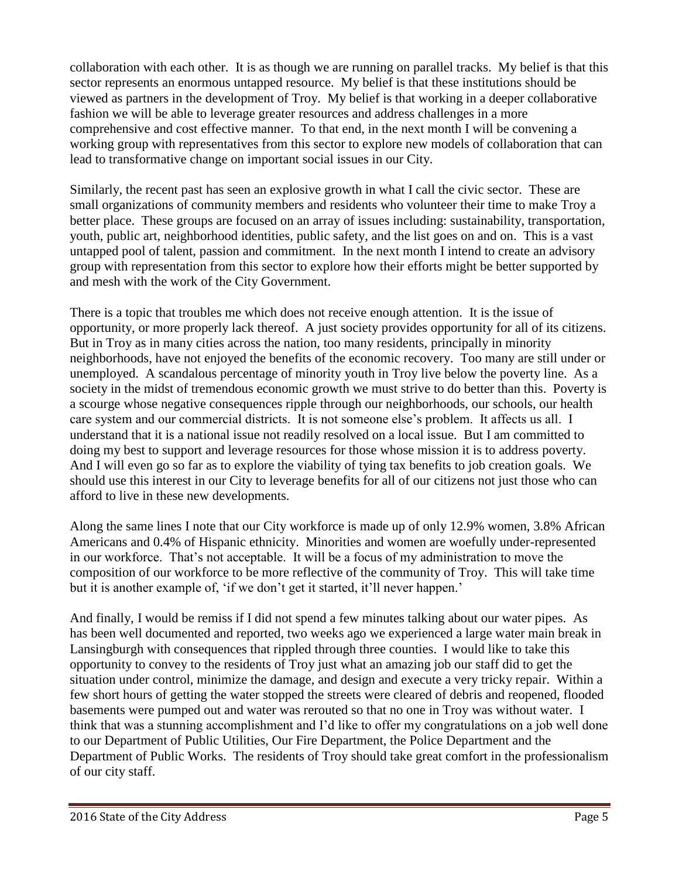collaboration with each other. It is as though we are running on parallel tracks. My belief is that this sector represents an enormous untapped resource. My belief is that these institutions should be viewed as partners in the development of Troy. My belief is that working in a deeper collaborative fashion we will be able to leverage greater resources and address challenges in a more comprehensive and cost effective manner. To that end, in the next month I will be convening a working group with representatives from this sector to explore new models of collaboration that can lead to transformative change on important social issues in our City.

Similarly, the recent past has seen an explosive growth in what I call the civic sector. These are small organizations of community members and residents who volunteer their time to make Troy a better place. These groups are focused on an array of issues including: sustainability, transportation, youth, public art, neighborhood identities, public safety, and the list goes on and on. This is a vast untapped pool of talent, passion and commitment. In the next month I intend to create an advisory group with representation from this sector to explore how their efforts might be better supported by and mesh with the work of the City Government.

There is a topic that troubles me which does not receive enough attention. It is the issue of opportunity, or more properly lack thereof. A just society provides opportunity for all of its citizens. But in Troy as in many cities across the nation, too many residents, principally in minority neighborhoods, have not enjoyed the benefits of the economic recovery. Too many are still under or unemployed. A scandalous percentage of minority youth in Troy live below the poverty line. As a society in the midst of tremendous economic growth we must strive to do better than this. Poverty is a scourge whose negative consequences ripple through our neighborhoods, our schools, our health care system and our commercial districts. It is not someone else's problem. It affects us all. I understand that it is a national issue not readily resolved on a local issue. But I am committed to doing my best to support and leverage resources for those whose mission it is to address poverty. And I will even go so far as to explore the viability of tying tax benefits to job creation goals. We should use this interest in our City to leverage benefits for all of our citizens not just those who can afford to live in these new developments.

Along the same lines I note that our City workforce is made up of only 12.9% women, 3.8% African Americans and 0.4% of Hispanic ethnicity. Minorities and women are woefully under-represented in our workforce. That's not acceptable. It will be a focus of my administration to move the composition of our workforce to be more reflective of the community of Troy. This will take time but it is another example of, 'if we don't get it started, it'll never happen.'

And finally, I would be remiss if I did not spend a few minutes talking about our water pipes. As has been well documented and reported, two weeks ago we experienced a large water main break in Lansingburgh with consequences that rippled through three counties. I would like to take this opportunity to convey to the residents of Troy just what an amazing job our staff did to get the situation under control, minimize the damage, and design and execute a very tricky repair. Within a few short hours of getting the water stopped the streets were cleared of debris and reopened, flooded basements were pumped out and water was rerouted so that no one in Troy was without water. I think that was a stunning accomplishment and I'd like to offer my congratulations on a job well done to our Department of Public Utilities, Our Fire Department, the Police Department and the Department of Public Works. The residents of Troy should take great comfort in the professionalism of our city staff.